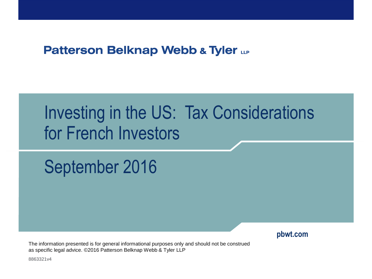#### **Patterson Belknap Webb & Tyler LLP**

# Investing in the US: Tax Considerations for French Investors

# September 2016

**pbwt.com**

The information presented is for general informational purposes only and should not be construed as specific legal advice. ©2016 Patterson Belknap Webb & Tyler LLP

8863321v4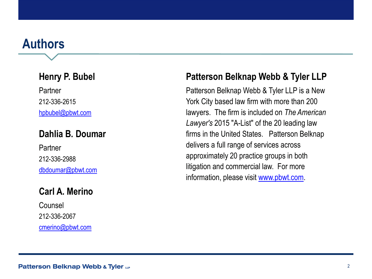#### **Authors**

#### **Henry P. Bubel**

Partner 212-336-2615 [hpbubel@pbwt.com](mailto:hpbubel@pbwt.com)

#### **Dahlia B. Doumar**

Partner 212-336-2988 [dbdoumar@pbwt.com](mailto:dbdoumar@pbwt.com)

#### **Carl A. Merino**

Counsel 212-336-2067 [cmerino@pbwt.com](mailto:dbdoumar@pbwt.com)

#### **Patterson Belknap Webb & Tyler LLP**

Patterson Belknap Webb & Tyler LLP is a New York City based law firm with more than 200 lawyers. The firm is included on *The American Lawyer's* 2015 "A-List" of the 20 leading law firms in the United States. Patterson Belknap delivers a full range of services across approximately 20 practice groups in both litigation and commercial law. For more information, please visit [www.pbwt.com.](http://www.pbwt.com/)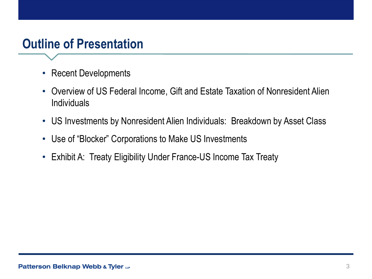## **Outline of Presentation**

- Recent Developments
- Overview of US Federal Income, Gift and Estate Taxation of Nonresident Alien **Individuals**
- US Investments by Nonresident Alien Individuals: Breakdown by Asset Class
- Use of "Blocker" Corporations to Make US Investments
- Exhibit A: Treaty Eligibility Under France-US Income Tax Treaty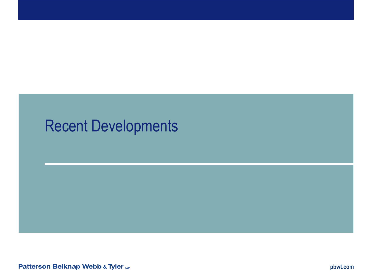## Recent Developments

**Patterson Belknap Webb & Tyler LLP**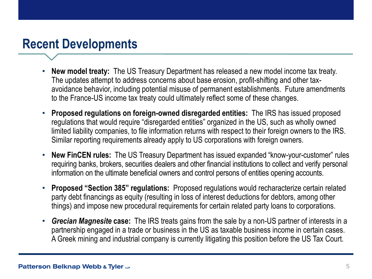### **Recent Developments**

- **New model treaty:** The US Treasury Department has released a new model income tax treaty. The updates attempt to address concerns about base erosion, profit-shifting and other taxavoidance behavior, including potential misuse of permanent establishments. Future amendments to the France-US income tax treaty could ultimately reflect some of these changes.
- **Proposed regulations on foreign-owned disregarded entities:** The IRS has issued proposed regulations that would require "disregarded entities" organized in the US, such as wholly owned limited liability companies, to file information returns with respect to their foreign owners to the IRS. Similar reporting requirements already apply to US corporations with foreign owners.
- **New FinCEN rules:** The US Treasury Department has issued expanded "know-your-customer" rules requiring banks, brokers, securities dealers and other financial institutions to collect and verify personal information on the ultimate beneficial owners and control persons of entities opening accounts.
- **Proposed "Section 385" regulations:** Proposed regulations would recharacterize certain related party debt financings as equity (resulting in loss of interest deductions for debtors, among other things) and impose new procedural requirements for certain related party loans to corporations.
- *Grecian Magnesite* **case:** The IRS treats gains from the sale by a non-US partner of interests in a partnership engaged in a trade or business in the US as taxable business income in certain cases. A Greek mining and industrial company is currently litigating this position before the US Tax Court.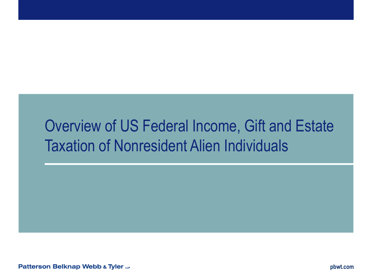## Overview of US Federal Income, Gift and Estate Taxation of Nonresident Alien Individuals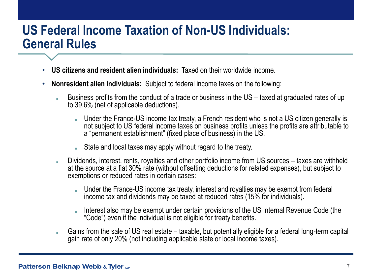#### **US Federal Income Taxation of Non-US Individuals: General Rules**

- **US citizens and resident alien individuals:** Taxed on their worldwide income.
- **Nonresident alien individuals:** Subject to federal income taxes on the following:
	- Business profits from the conduct of a trade or business in the US taxed at graduated rates of up to 39.6% (net of applicable deductions).
		- Under the France-US income tax treaty, a French resident who is not a US citizen generally is not subject to US federal income taxes on business profits unless the profits are attributable to a "permanent establishment" (fixed place of business) in the US.
		- State and local taxes may apply without regard to the treaty.
	- Dividends, interest, rents, royalties and other portfolio income from US sources taxes are withheld at the source at a flat 30% rate (without offsetting deductions for related expenses), but subject to exemptions or reduced rates in certain cases:
		- Under the France-US income tax treaty, interest and royalties may be exempt from federal income tax and dividends may be taxed at reduced rates (15% for individuals).
		- Interest also may be exempt under certain provisions of the US Internal Revenue Code (the "Code") even if the individual is not eligible for treaty benefits.
	- Gains from the sale of US real estate taxable, but potentially eligible for a federal long-term capital gain rate of only 20% (not including applicable state or local income taxes).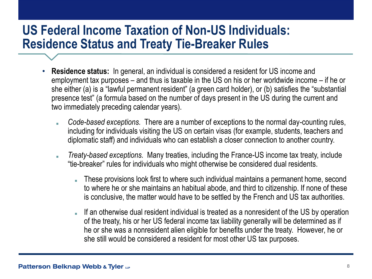#### **US Federal Income Taxation of Non-US Individuals: Residence Status and Treaty Tie-Breaker Rules**

- **Residence status:** In general, an individual is considered a resident for US income and employment tax purposes – and thus is taxable in the US on his or her worldwide income – if he or she either (a) is a "lawful permanent resident" (a green card holder), or (b) satisfies the "substantial presence test" (a formula based on the number of days present in the US during the current and two immediately preceding calendar years).
	- *Code-based exceptions.* There are a number of exceptions to the normal day-counting rules, including for individuals visiting the US on certain visas (for example, students, teachers and diplomatic staff) and individuals who can establish a closer connection to another country.
	- *Treaty-based exceptions.* Many treaties, including the France-US income tax treaty, include "tie-breaker" rules for individuals who might otherwise be considered dual residents.
		- These provisions look first to where such individual maintains a permanent home, second to where he or she maintains an habitual abode, and third to citizenship. If none of these is conclusive, the matter would have to be settled by the French and US tax authorities.
		- If an otherwise dual resident individual is treated as a nonresident of the US by operation of the treaty, his or her US federal income tax liability generally will be determined as if he or she was a nonresident alien eligible for benefits under the treaty. However, he or she still would be considered a resident for most other US tax purposes.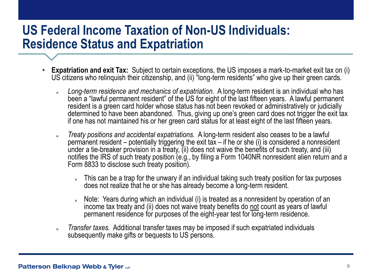#### **US Federal Income Taxation of Non-US Individuals: Residence Status and Expatriation**

- **Expatriation and exit Tax:** Subject to certain exceptions, the US imposes a mark-to-market exit tax on (i) US citizens who relinquish their citizenship, and (ii) "long-term residents" who give up their green cards.
	- Long-term residence and mechanics of expatriation. A long-term resident is an individual who has been a "lawful permanent resident" of the US for eight of the last fifteen years. A lawful permanent resident is a green card holder whose status has not been revoked or administratively or judicially determined to have been abandoned. Thus, giving up one's green card does not trigger the exit tax if one has not maintained his or her green card status for at least eight of the last fifteen years.
	- *Treaty positions and accidental expatriations.* A long-term resident also ceases to be a lawful permanent resident – potentially triggering the exit tax – if he or she (i) is considered a nonresident under a tie-breaker provision in a treaty, (ii) does not waive the benefits of such treaty, and (iii) notifies the IRS of such treaty position (e.g., by filing a Form 1040NR nonresident alien return and a Form 8833 to disclose such treaty position).
		- This can be a trap for the unwary if an individual taking such treaty position for tax purposes does not realize that he or she has already become a long-term resident.
		- Note: Years during which an individual (i) is treated as a nonresident by operation of an income tax treaty and (ii) does not waive treaty benefits do not count as years of lawful permanent residence for purposes of the eight-year test for long-term residence.
	- *Transfer taxes.* Additional transfer taxes may be imposed if such expatriated individuals subsequently make gifts or bequests to US persons.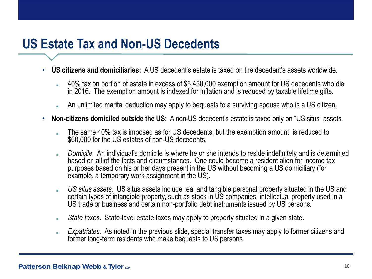### **US Estate Tax and Non-US Decedents**

- **US citizens and domiciliaries:** A US decedent's estate is taxed on the decedent's assets worldwide.
	- 40% tax on portion of estate in excess of \$5,450,000 exemption amount for US decedents who die in 2016. The exemption amount is indexed for inflation and is reduced by taxable lifetime gifts.
	- An unlimited marital deduction may apply to bequests to a surviving spouse who is a US citizen.
- **Non-citizens domiciled outside the US:** A non-US decedent's estate is taxed only on "US situs" assets.
	- The same 40% tax is imposed as for US decedents, but the exemption amount is reduced to \$60,000 for the US estates of non-US decedents.
	- *Domicile.* An individual's domicile is where he or she intends to reside indefinitely and is determined based on all of the facts and circumstances. One could become a resident alien for income tax purposes based on his or her days present in the US without becoming a US domiciliary (for example, a temporary work assignment in the US).
	- *US situs assets.* US situs assets include real and tangible personal property situated in the US and certain types of intangible property, such as stock in US companies, intellectual property used in a US trade or business and certain non-portfolio debt instruments issued by US persons.
	- *State taxes.* State-level estate taxes may apply to property situated in a given state.
	- *Expatriates.* As noted in the previous slide, special transfer taxes may apply to former citizens and former long-term residents who make bequests to US persons.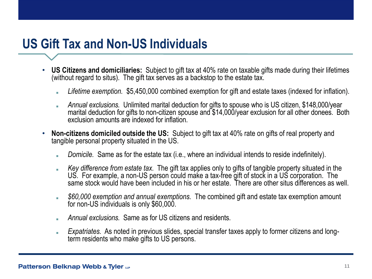## **US Gift Tax and Non-US Individuals**

- **US Citizens and domiciliaries:** Subject to gift tax at 40% rate on taxable gifts made during their lifetimes (without regard to situs). The gift tax serves as a backstop to the estate tax.
	- *Lifetime exemption.* \$5,450,000 combined exemption for gift and estate taxes (indexed for inflation).
	- *Annual exclusions.* Unlimited marital deduction for gifts to spouse who is US citizen, \$148,000/year marital deduction for gifts to non-citizen spouse and \$14,000/year exclusion for all other donees. Both exclusion amounts are indexed for inflation.
- **Non-citizens domiciled outside the US:** Subject to gift tax at 40% rate on gifts of real property and tangible personal property situated in the US.
	- *Domicile.* Same as for the estate tax (i.e., where an individual intends to reside indefinitely).
	- *Key difference from estate tax.* The gift tax applies only to gifts of tangible property situated in the US. For example, a non-US person could make a tax-free gift of stock in a US corporation. The same stock would have been included in his or her estate. There are other situs differences as well.
	- *\$60,000 exemption and annual exemptions.* The combined gift and estate tax exemption amount for non-US individuals is only \$60,000.
	- *Annual exclusions.* Same as for US citizens and residents.
	- *Expatriates.* As noted in previous slides, special transfer taxes apply to former citizens and longterm residents who make gifts to US persons.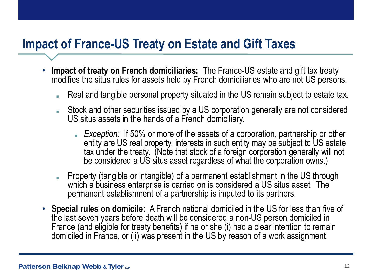### **Impact of France-US Treaty on Estate and Gift Taxes**

- **Impact of treaty on French domiciliaries:** The France-US estate and gift tax treaty modifies the situs rules for assets held by French domiciliaries who are not US persons.
	- Real and tangible personal property situated in the US remain subject to estate tax.
	- Stock and other securities issued by a US corporation generally are not considered US situs assets in the hands of a French domiciliary.
		- *Exception:* If 50% or more of the assets of a corporation, partnership or other entity are US real property, interests in such entity may be subject to US estate tax under the treaty. (Note that stock of a foreign corporation generally will not be considered a US situs asset regardless of what the corporation owns.)
	- Property (tangible or intangible) of a permanent establishment in the US through which a business enterprise is carried on is considered a US situs asset. The permanent establishment of a partnership is imputed to its partners.
- **Special rules on domicile:** A French national domiciled in the US for less than five of the last seven years before death will be considered a non-US person domiciled in France (and eligible for treaty benefits) if he or she (i) had a clear intention to remain domiciled in France, or (ii) was present in the US by reason of a work assignment.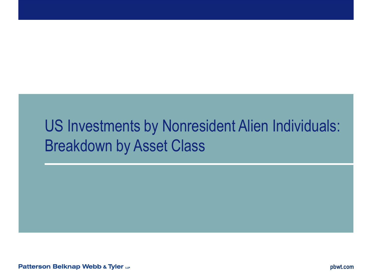# US Investments by Nonresident Alien Individuals: Breakdown by Asset Class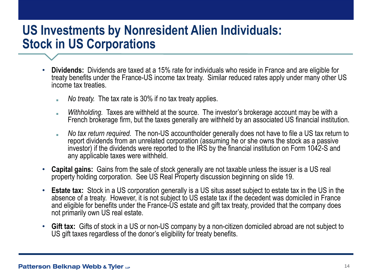#### **US Investments by Nonresident Alien Individuals: Stock in US Corporations**

- **Dividends:** Dividends are taxed at a 15% rate for individuals who reside in France and are eligible for treaty benefits under the France-US income tax treaty. Similar reduced rates apply under many other US income tax treaties.
	- *No treaty.* The tax rate is 30% if no tax treaty applies.
	- *Withholding.* Taxes are withheld at the source. The investor's brokerage account may be with a French brokerage firm, but the taxes generally are withheld by an associated US financial institution.
	- *No tax return required.* The non-US accountholder generally does not have to file a US tax return to report dividends from an unrelated corporation (assuming he or she owns the stock as a passive investor) if the dividends were reported to the IRS by the financial institution on Form 1042-S and any applicable taxes were withheld.
- **Capital gains:** Gains from the sale of stock generally are not taxable unless the issuer is a US real property holding corporation. See US Real Property discussion beginning on slide 19.
- **Estate tax:** Stock in a US corporation generally is a US situs asset subject to estate tax in the US in the absence of a treaty. However, it is not subject to US estate tax if the decedent was domiciled in France and eligible for benefits under the France-US estate and gift tax treaty, provided that the company does not primarily own US real estate.
- **Gift tax:** Gifts of stock in a US or non-US company by a non-citizen domiciled abroad are not subject to US gift taxes regardless of the donor's eligibility for treaty benefits.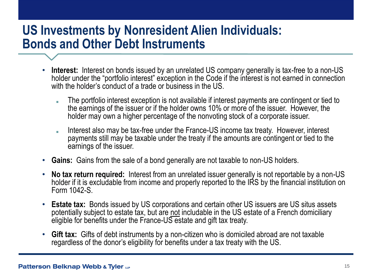#### **US Investments by Nonresident Alien Individuals: Bonds and Other Debt Instruments**

- **Interest:** Interest on bonds issued by an unrelated US company generally is tax-free to a non-US holder under the "portfolio interest" exception in the Code if the interest is not earned in connection with the holder's conduct of a trade or business in the US.
	- The portfolio interest exception is not available if interest payments are contingent or tied to the earnings of the issuer or if the holder owns 10% or more of the issuer. However, the holder may own a higher percentage of the nonvoting stock of a corporate issuer.
	- Interest also may be tax-free under the France-US income tax treaty. However, interest payments still may be taxable under the treaty if the amounts are contingent or tied to the earnings of the issuer.
- **Gains:** Gains from the sale of a bond generally are not taxable to non-US holders.
- **No tax return required:** Interest from an unrelated issuer generally is not reportable by a non-US holder if it is excludable from income and properly reported to the IRS by the financial institution on Form 1042-S.
- **Estate tax:** Bonds issued by US corporations and certain other US issuers are US situs assets potentially subject to estate tax, but are not includable in the US estate of a French domiciliary eligible for benefits under the France-US estate and gift tax treaty.
- **Gift tax:** Gifts of debt instruments by a non-citizen who is domiciled abroad are not taxable regardless of the donor's eligibility for benefits under a tax treaty with the US.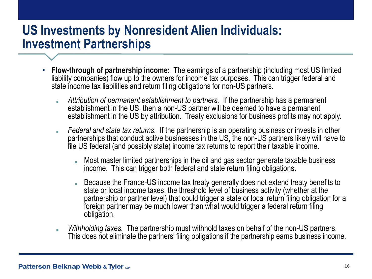### **US Investments by Nonresident Alien Individuals: Investment Partnerships**

- **Flow-through of partnership income:** The earnings of a partnership (including most US limited liability companies) flow up to the owners for income tax purposes. This can trigger federal and state income tax liabilities and return filing obligations for non-US partners.
	- *Attribution of permanent establishment to partners.* If the partnership has a permanent establishment in the US, then a non-US partner will be deemed to have a permanent establishment in the US by attribution. Treaty exclusions for business profits may not apply.
	- *Federal and state tax returns.* If the partnership is an operating business or invests in other partnerships that conduct active businesses in the US, the non-US partners likely will have to file US federal (and possibly state) income tax returns to report their taxable income.
		- Most master limited partnerships in the oil and gas sector generate taxable business income. This can trigger both federal and state return filing obligations.
		- Because the France-US income tax treaty generally does not extend treaty benefits to state or local income taxes, the threshold level of business activity (whether at the partnership or partner level) that could trigger a state or local return filing obligation for a foreign partner may be much lower than what would trigger a federal return filing obligation.
	- *Withholding taxes.* The partnership must withhold taxes on behalf of the non-US partners. This does not eliminate the partners' filing obligations if the partnership earns business income.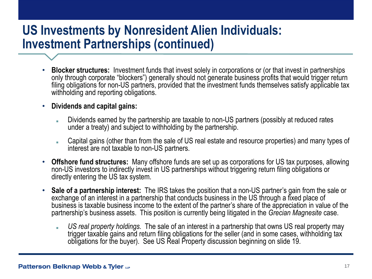#### **US Investments by Nonresident Alien Individuals: Investment Partnerships (continued)**

- **Blocker structures:** Investment funds that invest solely in corporations or (or that invest in partnerships only through corporate "blockers") generally should not generate business profits that would trigger return filing obligations for non-US partners, provided that the investment funds themselves satisfy applicable tax withholding and reporting obligations.
- **Dividends and capital gains:**
	- Dividends earned by the partnership are taxable to non-US partners (possibly at reduced rates under a treaty) and subject to withholding by the partnership.
	- Capital gains (other than from the sale of US real estate and resource properties) and many types of interest are not taxable to non-US partners.
- **Offshore fund structures:** Many offshore funds are set up as corporations for US tax purposes, allowing non-US investors to indirectly invest in US partnerships without triggering return filing obligations or directly entering the US tax system.
- **Sale of a partnership interest:** The IRS takes the position that a non-US partner's gain from the sale or exchange of an interest in a partnership that conducts business in the US through a fixed place of business is taxable business income to the extent of the partner's share of the appreciation in value of the partnership's business assets. This position is currently being litigated in the *Grecian Magnesite* case.
	- US real property holdings. The sale of an interest in a partnership that owns US real property may trigger taxable gains and return filing obligations for the seller (and in some cases, withholding tax obligations for the buyer). See US Real Property discussion beginning on slide 19.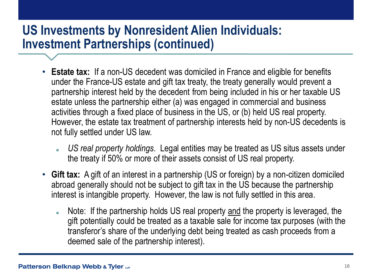#### **US Investments by Nonresident Alien Individuals: Investment Partnerships (continued)**

- **Estate tax:** If a non-US decedent was domiciled in France and eligible for benefits under the France-US estate and gift tax treaty, the treaty generally would prevent a partnership interest held by the decedent from being included in his or her taxable US estate unless the partnership either (a) was engaged in commercial and business activities through a fixed place of business in the US, or (b) held US real property. However, the estate tax treatment of partnership interests held by non-US decedents is not fully settled under US law.
	- *US real property holdings.* Legal entities may be treated as US situs assets under the treaty if 50% or more of their assets consist of US real property.
- **Gift tax:** A gift of an interest in a partnership (US or foreign) by a non-citizen domiciled abroad generally should not be subject to gift tax in the US because the partnership interest is intangible property. However, the law is not fully settled in this area.
	- Note: If the partnership holds US real property and the property is leveraged, the gift potentially could be treated as a taxable sale for income tax purposes (with the transferor's share of the underlying debt being treated as cash proceeds from a deemed sale of the partnership interest).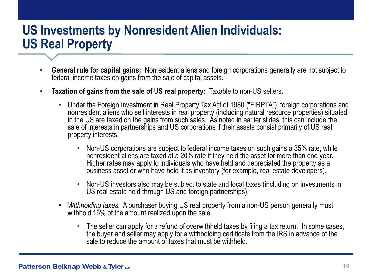### **US Investments by Nonresident Alien Individuals: US Real Property**

- **General rule for capital gains:** Nonresident aliens and foreign corporations generally are not subject to federal income taxes on gains from the sale of capital assets.
- **Taxation of gains from the sale of US real property:** Taxable to non-US sellers.
	- Under the Foreign Investment in Real Property Tax Act of 1980 ("FIRPTA"), foreign corporations and nonresident aliens who sell interests in real property (including natural resource properties) situated in the US are taxed on the gains from such sales. As noted in earlier slides, this can include the sale of interests in partnerships and US corporations if their assets consist primarily of US real property interests.
		- Non-US corporations are subject to federal income taxes on such gains a 35% rate, while nonresident aliens are taxed at a 20% rate if they held the asset for more than one year. Higher rates may apply to individuals who have held and depreciated the property as a business asset or who have held it as inventory (for example, real estate developers).
		- Non-US investors also may be subject to state and local taxes (including on investments in US real estate held through US and foreign partnerships).
	- *Withholding taxes.* A purchaser buying US real property from a non-US person generally must withhold 15% of the amount realized upon the sale.
		- The seller can apply for a refund of overwithheld taxes by filing a tax return. In some cases, the buyer and seller may apply for a withholding certificate from the IRS in advance of the sale to reduce the amount of taxes that must be withheld.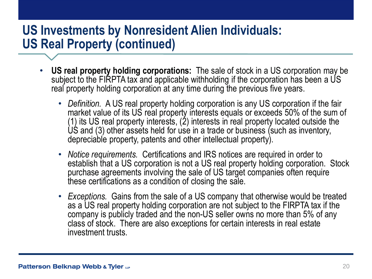### **US Investments by Nonresident Alien Individuals: US Real Property (continued)**

- **US real property holding corporations:** The sale of stock in a US corporation may be subject to the FIRPTA tax and applicable withholding if the corporation has been a US real property holding corporation at any time during the previous five years.
	- *Definition.* A US real property holding corporation is any US corporation if the fair market value of its US real property interests equals or exceeds 50% of the sum of (1) its US real property interests, (2) interests in real property located outside the US and (3) other assets held for use in a trade or business (such as inventory, depreciable property, patents and other intellectual property).
	- *Notice requirements.* Certifications and IRS notices are required in order to establish that a US corporation is not a US real property holding corporation. Stock purchase agreements involving the sale of US target companies often require these certifications as a condition of closing the sale.
	- *Exceptions.* Gains from the sale of a US company that otherwise would be treated as a US real property holding corporation are not subject to the FIRPTA tax if the company is publicly traded and the non-US seller owns no more than 5% of any class of stock. There are also exceptions for certain interests in real estate investment trusts.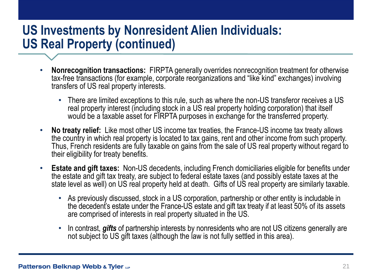### **US Investments by Nonresident Alien Individuals: US Real Property (continued)**

- **Nonrecognition transactions:** FIRPTA generally overrides nonrecognition treatment for otherwise tax-free transactions (for example, corporate reorganizations and "like kind" exchanges) involving transfers of US real property interests.
	- There are limited exceptions to this rule, such as where the non-US transferor receives a US real property interest (including stock in a US real property holding corporation) that itself would be a taxable asset for FIRPTA purposes in exchange for the transferred property.
- **No treaty relief:** Like most other US income tax treaties, the France-US income tax treaty allows the country in which real property is located to tax gains, rent and other income from such property. Thus, French residents are fully taxable on gains from the sale of US real property without regard to their eligibility for treaty benefits.
- **Estate and gift taxes:** Non-US decedents, including French domiciliaries eligible for benefits under the estate and gift tax treaty, are subject to federal estate taxes (and possibly estate taxes at the state level as well) on US real property held at death. Gifts of US real property are similarly taxable.
	- As previously discussed, stock in a US corporation, partnership or other entity is includable in the decedent's estate under the France-US estate and gift tax treaty if at least 50% of its assets are comprised of interests in real property situated in the US.
	- In contrast, *gifts* of partnership interests by nonresidents who are not US citizens generally are not subject to US gift taxes (although the law is not fully settled in this area).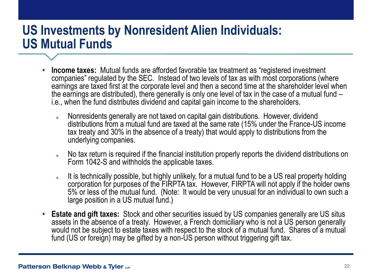### **US Investments by Nonresident Alien Individuals: US Mutual Funds**

- **Income taxes:** Mutual funds are afforded favorable tax treatment as "registered investment companies" regulated by the SEC. Instead of two levels of tax as with most corporations (where earnings are taxed first at the corporate level and then a second time at the shareholder level when the earnings are distributed), there generally is only one level of tax in the case of a mutual fund – i.e., when the fund distributes dividend and capital gain income to the shareholders.
	- Nonresidents generally are not taxed on capital gain distributions. However, dividend distributions from a mutual fund are taxed at the same rate (15% under the France-US income tax treaty and 30% in the absence of a treaty) that would apply to distributions from the underlying companies.
	- No tax return is required if the financial institution properly reports the dividend distributions on Form 1042-S and withholds the applicable taxes.
	- It is technically possible, but highly unlikely, for a mutual fund to be a US real property holding corporation for purposes of the FIRPTA tax. However, FIRPTA will not apply if the holder owns 5% or less of the mutual fund. (Note: It would be very unusual for an individual to own such a large position in a US mutual fund.)
- **Estate and gift taxes:** Stock and other securities issued by US companies generally are US situs assets in the absence of a treaty. However, a French domiciliary who is not a US person generally would not be subject to estate taxes with respect to the stock of a mutual fund. Shares of a mutual fund (US or foreign) may be gifted by a non-US person without triggering gift tax.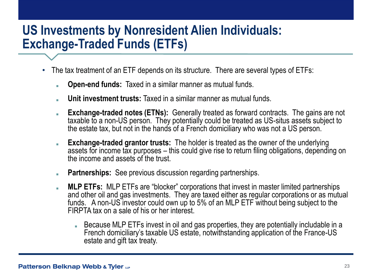#### **US Investments by Nonresident Alien Individuals: Exchange-Traded Funds (ETFs)**

- The tax treatment of an ETF depends on its structure. There are several types of ETFs:
	- **Open-end funds:** Taxed in a similar manner as mutual funds.
	- **Unit investment trusts:** Taxed in a similar manner as mutual funds.
	- **Exchange-traded notes (ETNs):** Generally treated as forward contracts. The gains are not taxable to a non-US person. They potentially could be treated as US-situs assets subject to the estate tax, but not in the hands of a French domiciliary who was not a US person.
	- **Exchange-traded grantor trusts:** The holder is treated as the owner of the underlying assets for income tax purposes – this could give rise to return filing obligations, depending on the income and assets of the trust.
	- **Partnerships:** See previous discussion regarding partnerships.
	- **MLP ETFs:** MLP ETFs are "blocker" corporations that invest in master limited partnerships and other oil and gas investments. They are taxed either as regular corporations or as mutual funds. A non-US investor could own up to 5% of an MLP ETF without being subject to the FIRPTA tax on a sale of his or her interest.
		- Because MLP ETFs invest in oil and gas properties, they are potentially includable in a French domiciliary's taxable US estate, notwithstanding application of the France-US estate and gift tax treaty.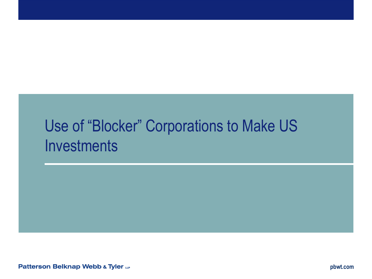# Use of "Blocker" Corporations to Make US **Investments**

Patterson Belknap Webb & Tyler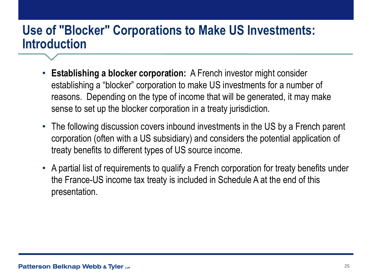#### **Use of "Blocker" Corporations to Make US Investments: Introduction**

- **Establishing a blocker corporation:** A French investor might consider establishing a "blocker" corporation to make US investments for a number of reasons. Depending on the type of income that will be generated, it may make sense to set up the blocker corporation in a treaty jurisdiction.
- The following discussion covers inbound investments in the US by a French parent corporation (often with a US subsidiary) and considers the potential application of treaty benefits to different types of US source income.
- A partial list of requirements to qualify a French corporation for treaty benefits under the France-US income tax treaty is included in Schedule A at the end of this presentation.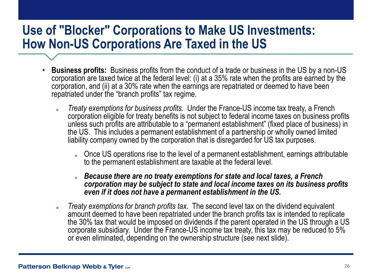#### **Use of "Blocker" Corporations to Make US Investments: How Non-US Corporations Are Taxed in the US**

- **Business profits:** Business profits from the conduct of a trade or business in the US by a non-US corporation are taxed twice at the federal level: (i) at a 35% rate when the profits are earned by the corporation, and (ii) at a 30% rate when the earnings are repatriated or deemed to have been repatriated under the "branch profits" tax regime.
	- *Treaty exemptions for business profits.* Under the France-US income tax treaty, a French corporation eligible for treaty benefits is not subject to federal income taxes on business profits unless such profits are attributable to a "permanent establishment" (fixed place of business) in the US. This includes a permanent establishment of a partnership or wholly owned limited liability company owned by the corporation that is disregarded for US tax purposes.
		- Once US operations rise to the level of a permanent establishment, earnings attributable to the permanent establishment are taxable at the federal level.
		- **Because there are no treaty exemptions for state and local taxes, a French** *corporation may be subject to state and local income taxes on its business profits even if it does not have a permanent establishment in the US.*
	- *Treaty exemptions for branch profits tax.* The second level tax on the dividend equivalent amount deemed to have been repatriated under the branch profits tax is intended to replicate the 30% tax that would be imposed on dividends if the parent operated in the US through a US corporate subsidiary. Under the France-US income tax treaty, this tax may be reduced to 5% or even eliminated, depending on the ownership structure (see next slide).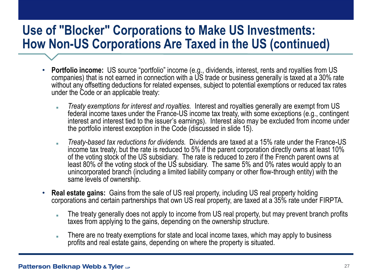#### **Use of "Blocker" Corporations to Make US Investments: How Non-US Corporations Are Taxed in the US (continued)**

- **Portfolio income:** US source "portfolio" income (e.g., dividends, interest, rents and royalties from US companies) that is not earned in connection with a US trade or business generally is taxed at a 30% rate without any offsetting deductions for related expenses, subject to potential exemptions or reduced tax rates under the Code or an applicable treaty:
	- *Treaty exemptions for interest and royalties.* Interest and royalties generally are exempt from US federal income taxes under the France-US income tax treaty, with some exceptions (e.g., contingent interest and interest tied to the issuer's earnings). Interest also may be excluded from income under the portfolio interest exception in the Code (discussed in slide 15).
	- *Treaty-based tax reductions for dividends.* Dividends are taxed at a 15% rate under the France-US income tax treaty, but the rate is reduced to 5% if the parent corporation directly owns at least 10% of the voting stock of the US subsidiary. The rate is reduced to zero if the French parent owns at least 80% of the voting stock of the US subsidiary. The same 5% and 0% rates would apply to an unincorporated branch (including a limited liability company or other flow-through entity) with the same levels of ownership.
- **Real estate gains:** Gains from the sale of US real property, including US real property holding corporations and certain partnerships that own US real property, are taxed at a 35% rate under FIRPTA.
	- The treaty generally does not apply to income from US real property, but may prevent branch profits taxes from applying to the gains, depending on the ownership structure.
	- **EXTED 10 There are no treaty exemptions for state and local income taxes, which may apply to business** profits and real estate gains, depending on where the property is situated.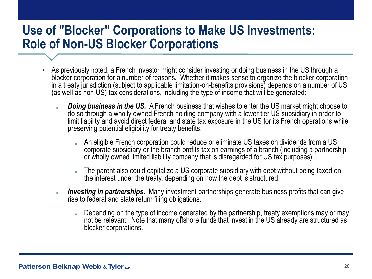#### **Use of "Blocker" Corporations to Make US Investments: Role of Non-US Blocker Corporations**

- As previously noted, a French investor might consider investing or doing business in the US through a blocker corporation for a number of reasons. Whether it makes sense to organize the blocker corporation in a treaty jurisdiction (subject to applicable limitation-on-benefits provisions) depends on a number of US (as well as non-US) tax considerations, including the type of income that will be generated:
	- **Doing business in the US.** A French business that wishes to enter the US market might choose to do so through a wholly owned French holding company with a lower tier US subsidiary in order to limit liability and avoid direct federal and state tax exposure in the US for its French operations while preserving potential eligibility for treaty benefits.
		- An eligible French corporation could reduce or eliminate US taxes on dividends from a US corporate subsidiary or the branch profits tax on earnings of a branch (including a partnership or wholly owned limited liability company that is disregarded for US tax purposes).
		- The parent also could capitalize a US corporate subsidiary with debt without being taxed on the interest under the treaty, depending on how the debt is structured.
	- *Investing in partnerships.* Many investment partnerships generate business profits that can give rise to federal and state return filing obligations.
		- Depending on the type of income generated by the partnership, treaty exemptions may or may not be relevant. Note that many offshore funds that invest in the US already are structured as blocker corporations.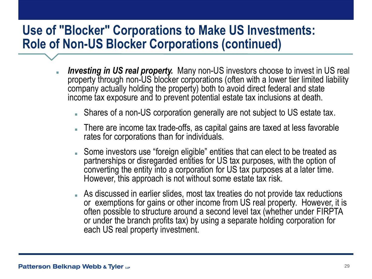#### **Use of "Blocker" Corporations to Make US Investments: Role of Non-US Blocker Corporations (continued)**

- **Investing in US real property.** Many non-US investors choose to invest in US real property through non-US blocker corporations (often with a lower tier limited liability company actually holding the property) both to avoid direct federal and state income tax exposure and to prevent potential estate tax inclusions at death.
	- Shares of a non-US corporation generally are not subject to US estate tax.
	- There are income tax trade-offs, as capital gains are taxed at less favorable rates for corporations than for individuals.
	- Some investors use "foreign eligible" entities that can elect to be treated as partnerships or disregarded entities for US tax purposes, with the option of converting the entity into a corporation for US tax purposes at a later time. However, this approach is not without some estate tax risk.
	- As discussed in earlier slides, most tax treaties do not provide tax reductions or exemptions for gains or other income from US real property. However, it is often possible to structure around a second level tax (whether under FIRPTA or under the branch profits tax) by using a separate holding corporation for each US real property investment.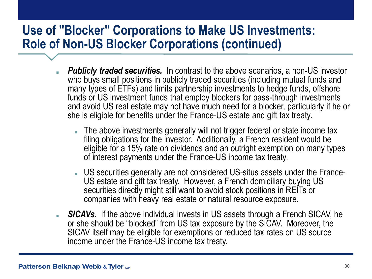#### **Use of "Blocker" Corporations to Make US Investments: Role of Non-US Blocker Corporations (continued)**

- *Publicly traded securities.* In contrast to the above scenarios, a non-US investor who buys small positions in publicly traded securities (including mutual funds and many types of ETFs) and limits partnership investments to hedge funds, offshore funds or US investment funds that employ blockers for pass-through investments and avoid US real estate may not have much need for a blocker, particularly if he or she is eligible for benefits under the France-US estate and gift tax treaty.
	- The above investments generally will not trigger federal or state income tax filing obligations for the investor. Additionally, a French resident would be eligible for a 15% rate on dividends and an outright exemption on many types of interest payments under the France-US income tax treaty.
	- US securities generally are not considered US-situs assets under the France-US estate and gift tax treaty. However, a French domiciliary buying US securities directly might still want to avoid stock positions in REITs or companies with heavy real estate or natural resource exposure.
- **SICAVs.** If the above individual invests in US assets through a French SICAV, he or she should be "blocked" from US tax exposure by the SICAV. Moreover, the SICAV itself may be eligible for exemptions or reduced tax rates on US source income under the France-US income tax treaty.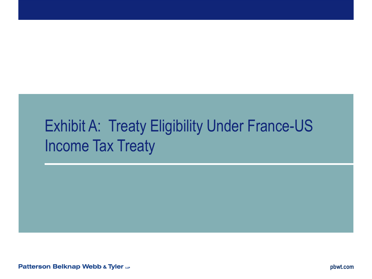# Exhibit A: Treaty Eligibility Under France-US Income Tax Treaty

Patterson Belknap Webb & Tyler